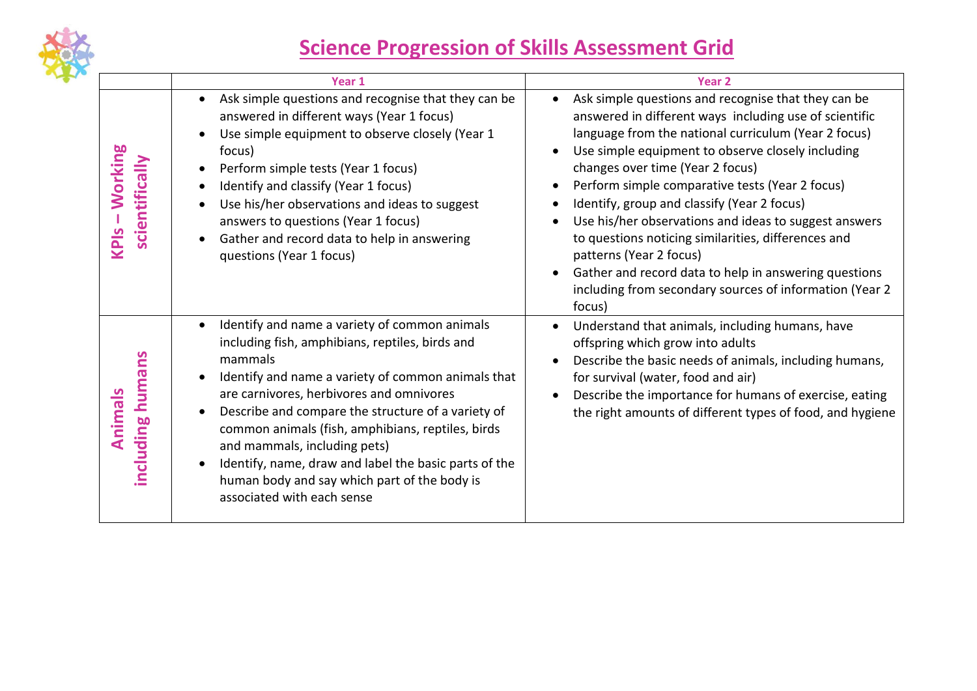

## **Science Progression of Skills Assessment Grid**

|                                              | Year 1                                                                                                                                                                                                                                                                                                                                                                                                                                                                                                                    | <b>Year 2</b>                                                                                                                                                                                                                                                                                                                                                                                                                                                                                                                                                                                                                             |
|----------------------------------------------|---------------------------------------------------------------------------------------------------------------------------------------------------------------------------------------------------------------------------------------------------------------------------------------------------------------------------------------------------------------------------------------------------------------------------------------------------------------------------------------------------------------------------|-------------------------------------------------------------------------------------------------------------------------------------------------------------------------------------------------------------------------------------------------------------------------------------------------------------------------------------------------------------------------------------------------------------------------------------------------------------------------------------------------------------------------------------------------------------------------------------------------------------------------------------------|
| <b>Working</b><br>scientifically<br>$RPIS -$ | Ask simple questions and recognise that they can be<br>$\bullet$<br>answered in different ways (Year 1 focus)<br>Use simple equipment to observe closely (Year 1<br>focus)<br>Perform simple tests (Year 1 focus)<br>Identify and classify (Year 1 focus)<br>Use his/her observations and ideas to suggest<br>answers to questions (Year 1 focus)<br>Gather and record data to help in answering<br>questions (Year 1 focus)                                                                                              | Ask simple questions and recognise that they can be<br>answered in different ways including use of scientific<br>language from the national curriculum (Year 2 focus)<br>Use simple equipment to observe closely including<br>changes over time (Year 2 focus)<br>Perform simple comparative tests (Year 2 focus)<br>Identify, group and classify (Year 2 focus)<br>Use his/her observations and ideas to suggest answers<br>to questions noticing similarities, differences and<br>patterns (Year 2 focus)<br>Gather and record data to help in answering questions<br>including from secondary sources of information (Year 2<br>focus) |
| including humans<br>Animals                  | Identify and name a variety of common animals<br>$\bullet$<br>including fish, amphibians, reptiles, birds and<br>mammals<br>Identify and name a variety of common animals that<br>are carnivores, herbivores and omnivores<br>Describe and compare the structure of a variety of<br>common animals (fish, amphibians, reptiles, birds<br>and mammals, including pets)<br>Identify, name, draw and label the basic parts of the<br>$\bullet$<br>human body and say which part of the body is<br>associated with each sense | Understand that animals, including humans, have<br>offspring which grow into adults<br>Describe the basic needs of animals, including humans,<br>for survival (water, food and air)<br>Describe the importance for humans of exercise, eating<br>the right amounts of different types of food, and hygiene                                                                                                                                                                                                                                                                                                                                |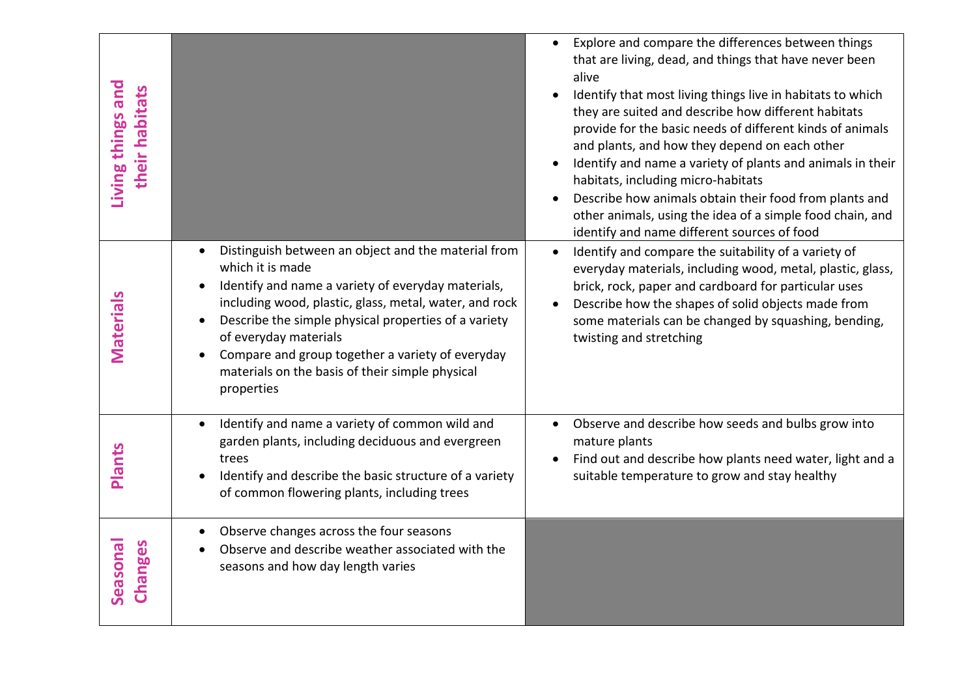| Living things and<br>their habitats |                                                                                                                                                                                                                                                                                                                                                                                               | Explore and compare the differences between things<br>$\bullet$<br>that are living, dead, and things that have never been<br>alive<br>Identify that most living things live in habitats to which<br>they are suited and describe how different habitats<br>provide for the basic needs of different kinds of animals<br>and plants, and how they depend on each other<br>Identify and name a variety of plants and animals in their<br>habitats, including micro-habitats<br>Describe how animals obtain their food from plants and<br>other animals, using the idea of a simple food chain, and<br>identify and name different sources of food |
|-------------------------------------|-----------------------------------------------------------------------------------------------------------------------------------------------------------------------------------------------------------------------------------------------------------------------------------------------------------------------------------------------------------------------------------------------|-------------------------------------------------------------------------------------------------------------------------------------------------------------------------------------------------------------------------------------------------------------------------------------------------------------------------------------------------------------------------------------------------------------------------------------------------------------------------------------------------------------------------------------------------------------------------------------------------------------------------------------------------|
| <b>Materials</b>                    | Distinguish between an object and the material from<br>which it is made<br>Identify and name a variety of everyday materials,<br>including wood, plastic, glass, metal, water, and rock<br>Describe the simple physical properties of a variety<br>of everyday materials<br>Compare and group together a variety of everyday<br>materials on the basis of their simple physical<br>properties | Identify and compare the suitability of a variety of<br>$\bullet$<br>everyday materials, including wood, metal, plastic, glass,<br>brick, rock, paper and cardboard for particular uses<br>Describe how the shapes of solid objects made from<br>some materials can be changed by squashing, bending,<br>twisting and stretching                                                                                                                                                                                                                                                                                                                |
| <b>Plants</b>                       | Identify and name a variety of common wild and<br>$\bullet$<br>garden plants, including deciduous and evergreen<br>trees<br>Identify and describe the basic structure of a variety<br>of common flowering plants, including trees                                                                                                                                                             | Observe and describe how seeds and bulbs grow into<br>mature plants<br>Find out and describe how plants need water, light and a<br>suitable temperature to grow and stay healthy                                                                                                                                                                                                                                                                                                                                                                                                                                                                |
| Seasonal<br>Changes                 | Observe changes across the four seasons<br>Observe and describe weather associated with the<br>seasons and how day length varies                                                                                                                                                                                                                                                              |                                                                                                                                                                                                                                                                                                                                                                                                                                                                                                                                                                                                                                                 |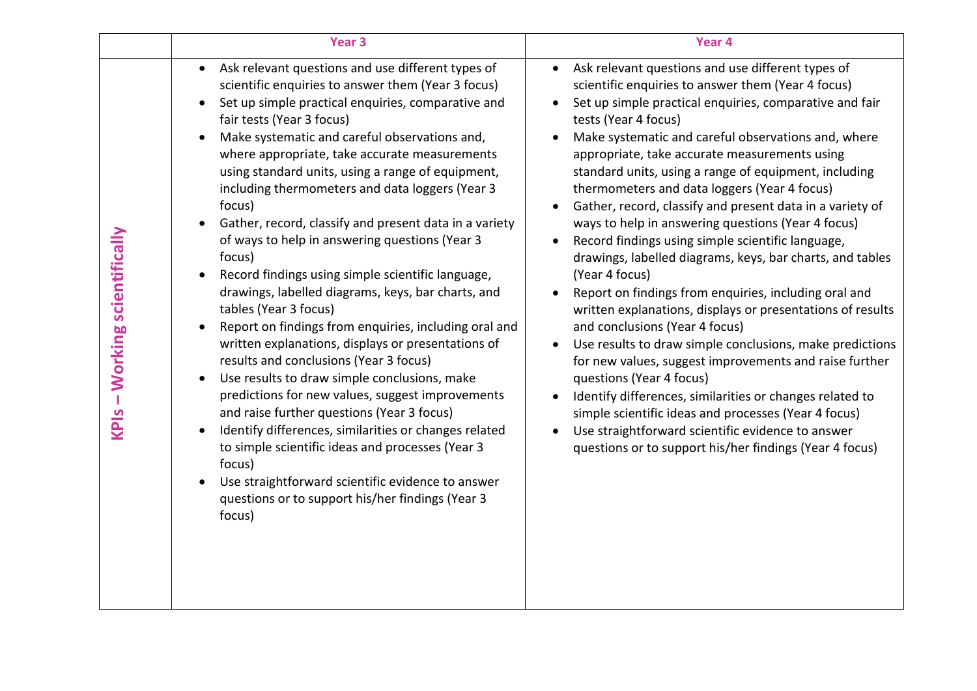|                               | Year <sub>3</sub>                                                                                                                                                                                                                                                                                                                                                                                                                                                                                                                                                                                                                                                                                                                                                                                                                                                                                                                                                                                                                                                                                                                                                                                                                          | Year 4                                                                                                                                                                                                                                                                                                                                                                                                                                                                                                                                                                                                                                                                                                                                                                                                                                                                                                                                                                                                                                                                                                                                                                                                            |
|-------------------------------|--------------------------------------------------------------------------------------------------------------------------------------------------------------------------------------------------------------------------------------------------------------------------------------------------------------------------------------------------------------------------------------------------------------------------------------------------------------------------------------------------------------------------------------------------------------------------------------------------------------------------------------------------------------------------------------------------------------------------------------------------------------------------------------------------------------------------------------------------------------------------------------------------------------------------------------------------------------------------------------------------------------------------------------------------------------------------------------------------------------------------------------------------------------------------------------------------------------------------------------------|-------------------------------------------------------------------------------------------------------------------------------------------------------------------------------------------------------------------------------------------------------------------------------------------------------------------------------------------------------------------------------------------------------------------------------------------------------------------------------------------------------------------------------------------------------------------------------------------------------------------------------------------------------------------------------------------------------------------------------------------------------------------------------------------------------------------------------------------------------------------------------------------------------------------------------------------------------------------------------------------------------------------------------------------------------------------------------------------------------------------------------------------------------------------------------------------------------------------|
| KPIs - Working scientifically | Ask relevant questions and use different types of<br>$\bullet$<br>scientific enquiries to answer them (Year 3 focus)<br>Set up simple practical enquiries, comparative and<br>fair tests (Year 3 focus)<br>Make systematic and careful observations and,<br>where appropriate, take accurate measurements<br>using standard units, using a range of equipment,<br>including thermometers and data loggers (Year 3<br>focus)<br>Gather, record, classify and present data in a variety<br>of ways to help in answering questions (Year 3<br>focus)<br>Record findings using simple scientific language,<br>drawings, labelled diagrams, keys, bar charts, and<br>tables (Year 3 focus)<br>Report on findings from enquiries, including oral and<br>written explanations, displays or presentations of<br>results and conclusions (Year 3 focus)<br>Use results to draw simple conclusions, make<br>predictions for new values, suggest improvements<br>and raise further questions (Year 3 focus)<br>Identify differences, similarities or changes related<br>to simple scientific ideas and processes (Year 3<br>focus)<br>Use straightforward scientific evidence to answer<br>questions or to support his/her findings (Year 3<br>focus) | Ask relevant questions and use different types of<br>scientific enquiries to answer them (Year 4 focus)<br>Set up simple practical enquiries, comparative and fair<br>tests (Year 4 focus)<br>Make systematic and careful observations and, where<br>appropriate, take accurate measurements using<br>standard units, using a range of equipment, including<br>thermometers and data loggers (Year 4 focus)<br>Gather, record, classify and present data in a variety of<br>ways to help in answering questions (Year 4 focus)<br>Record findings using simple scientific language,<br>drawings, labelled diagrams, keys, bar charts, and tables<br>(Year 4 focus)<br>Report on findings from enquiries, including oral and<br>written explanations, displays or presentations of results<br>and conclusions (Year 4 focus)<br>Use results to draw simple conclusions, make predictions<br>for new values, suggest improvements and raise further<br>questions (Year 4 focus)<br>Identify differences, similarities or changes related to<br>simple scientific ideas and processes (Year 4 focus)<br>Use straightforward scientific evidence to answer<br>questions or to support his/her findings (Year 4 focus) |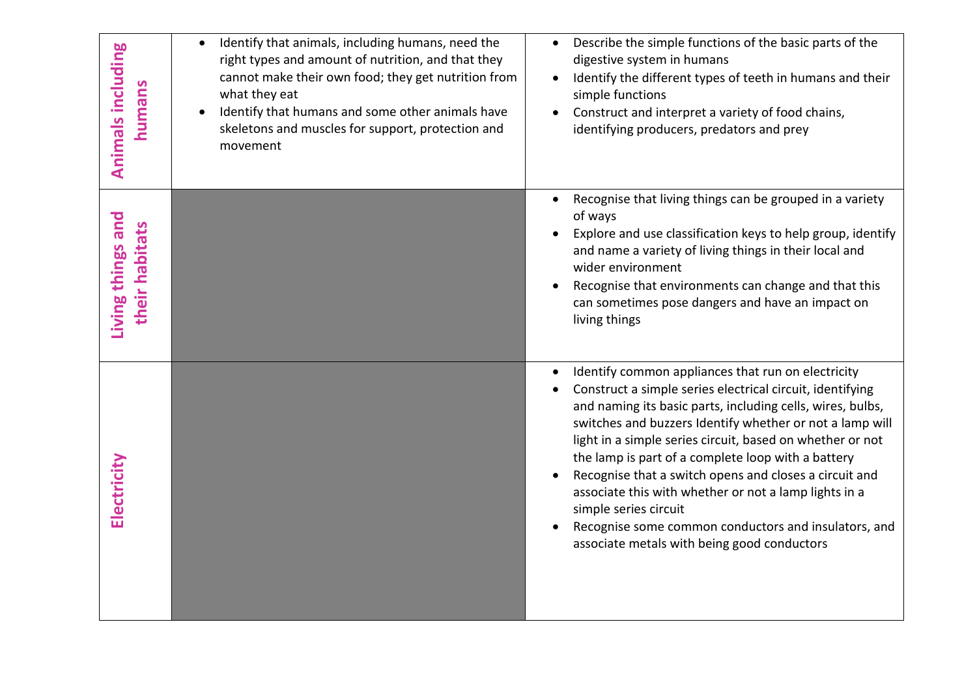| Animals including<br>humans         | Identify that animals, including humans, need the<br>right types and amount of nutrition, and that they<br>cannot make their own food; they get nutrition from<br>what they eat<br>Identify that humans and some other animals have<br>skeletons and muscles for support, protection and<br>movement | Describe the simple functions of the basic parts of the<br>digestive system in humans<br>Identify the different types of teeth in humans and their<br>$\bullet$<br>simple functions<br>Construct and interpret a variety of food chains,<br>identifying producers, predators and prey                                                                                                                                                                                                                                                                                                                           |
|-------------------------------------|------------------------------------------------------------------------------------------------------------------------------------------------------------------------------------------------------------------------------------------------------------------------------------------------------|-----------------------------------------------------------------------------------------------------------------------------------------------------------------------------------------------------------------------------------------------------------------------------------------------------------------------------------------------------------------------------------------------------------------------------------------------------------------------------------------------------------------------------------------------------------------------------------------------------------------|
| Living things and<br>their habitats |                                                                                                                                                                                                                                                                                                      | Recognise that living things can be grouped in a variety<br>of ways<br>Explore and use classification keys to help group, identify<br>and name a variety of living things in their local and<br>wider environment<br>Recognise that environments can change and that this<br>can sometimes pose dangers and have an impact on<br>living things                                                                                                                                                                                                                                                                  |
| Electricity                         |                                                                                                                                                                                                                                                                                                      | Identify common appliances that run on electricity<br>Construct a simple series electrical circuit, identifying<br>and naming its basic parts, including cells, wires, bulbs,<br>switches and buzzers Identify whether or not a lamp will<br>light in a simple series circuit, based on whether or not<br>the lamp is part of a complete loop with a battery<br>Recognise that a switch opens and closes a circuit and<br>associate this with whether or not a lamp lights in a<br>simple series circuit<br>Recognise some common conductors and insulators, and<br>associate metals with being good conductors |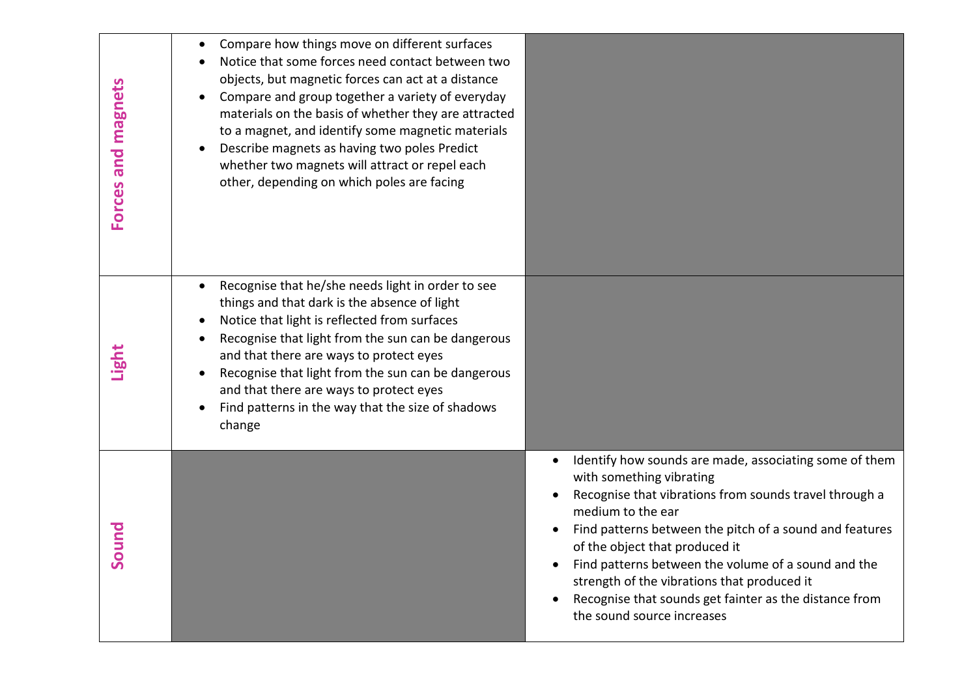| Forces and magnets | Compare how things move on different surfaces<br>Notice that some forces need contact between two<br>objects, but magnetic forces can act at a distance<br>Compare and group together a variety of everyday<br>materials on the basis of whether they are attracted<br>to a magnet, and identify some magnetic materials<br>Describe magnets as having two poles Predict<br>whether two magnets will attract or repel each<br>other, depending on which poles are facing |                                                                                                                                                                                                                                                                                                                                                                                                                                                              |
|--------------------|--------------------------------------------------------------------------------------------------------------------------------------------------------------------------------------------------------------------------------------------------------------------------------------------------------------------------------------------------------------------------------------------------------------------------------------------------------------------------|--------------------------------------------------------------------------------------------------------------------------------------------------------------------------------------------------------------------------------------------------------------------------------------------------------------------------------------------------------------------------------------------------------------------------------------------------------------|
| Light              | Recognise that he/she needs light in order to see<br>things and that dark is the absence of light<br>Notice that light is reflected from surfaces<br>$\bullet$<br>Recognise that light from the sun can be dangerous<br>and that there are ways to protect eyes<br>Recognise that light from the sun can be dangerous<br>and that there are ways to protect eyes<br>Find patterns in the way that the size of shadows<br>change                                          |                                                                                                                                                                                                                                                                                                                                                                                                                                                              |
| Sound              |                                                                                                                                                                                                                                                                                                                                                                                                                                                                          | Identify how sounds are made, associating some of them<br>with something vibrating<br>Recognise that vibrations from sounds travel through a<br>medium to the ear<br>Find patterns between the pitch of a sound and features<br>of the object that produced it<br>Find patterns between the volume of a sound and the<br>strength of the vibrations that produced it<br>Recognise that sounds get fainter as the distance from<br>the sound source increases |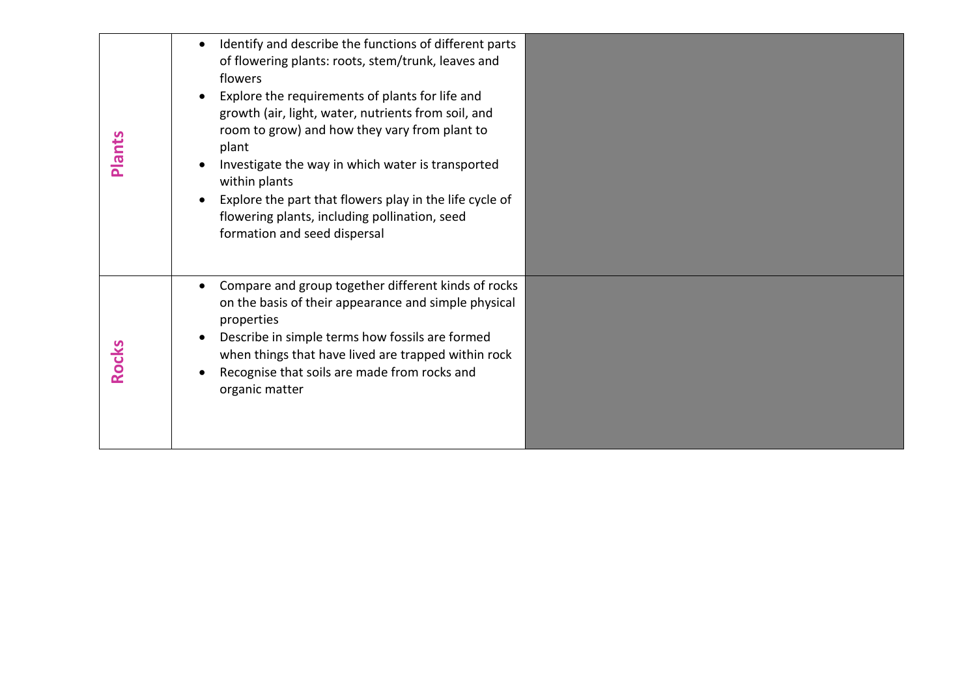| Plants       | Identify and describe the functions of different parts<br>$\bullet$<br>of flowering plants: roots, stem/trunk, leaves and<br>flowers<br>Explore the requirements of plants for life and<br>$\bullet$<br>growth (air, light, water, nutrients from soil, and<br>room to grow) and how they vary from plant to<br>plant<br>Investigate the way in which water is transported<br>within plants<br>Explore the part that flowers play in the life cycle of<br>$\bullet$<br>flowering plants, including pollination, seed<br>formation and seed dispersal |  |
|--------------|------------------------------------------------------------------------------------------------------------------------------------------------------------------------------------------------------------------------------------------------------------------------------------------------------------------------------------------------------------------------------------------------------------------------------------------------------------------------------------------------------------------------------------------------------|--|
| <b>Rocks</b> | Compare and group together different kinds of rocks<br>$\bullet$<br>on the basis of their appearance and simple physical<br>properties<br>Describe in simple terms how fossils are formed<br>when things that have lived are trapped within rock<br>Recognise that soils are made from rocks and<br>organic matter                                                                                                                                                                                                                                   |  |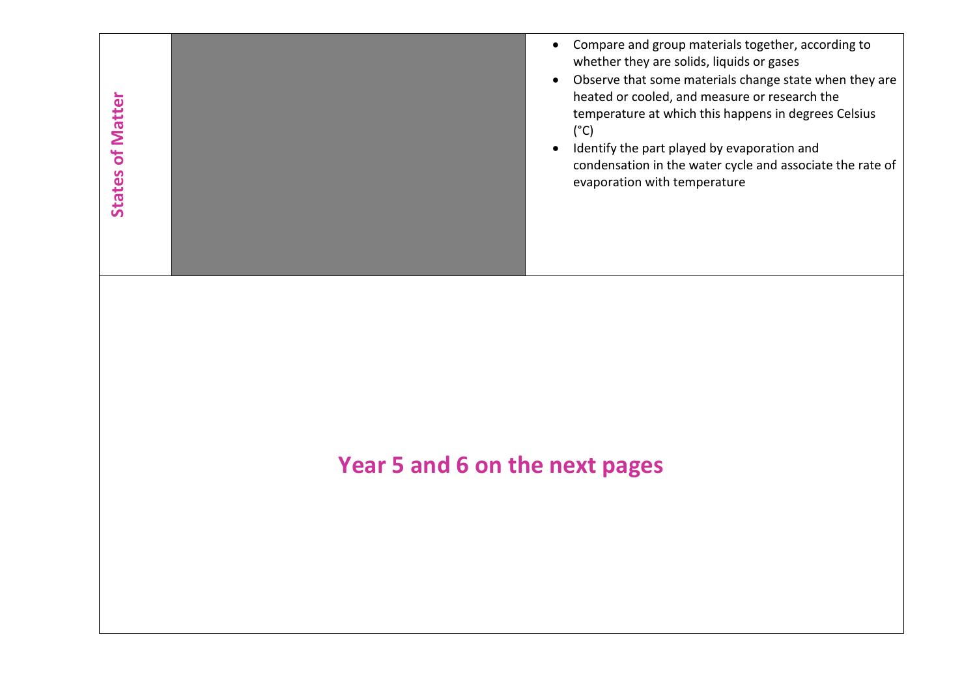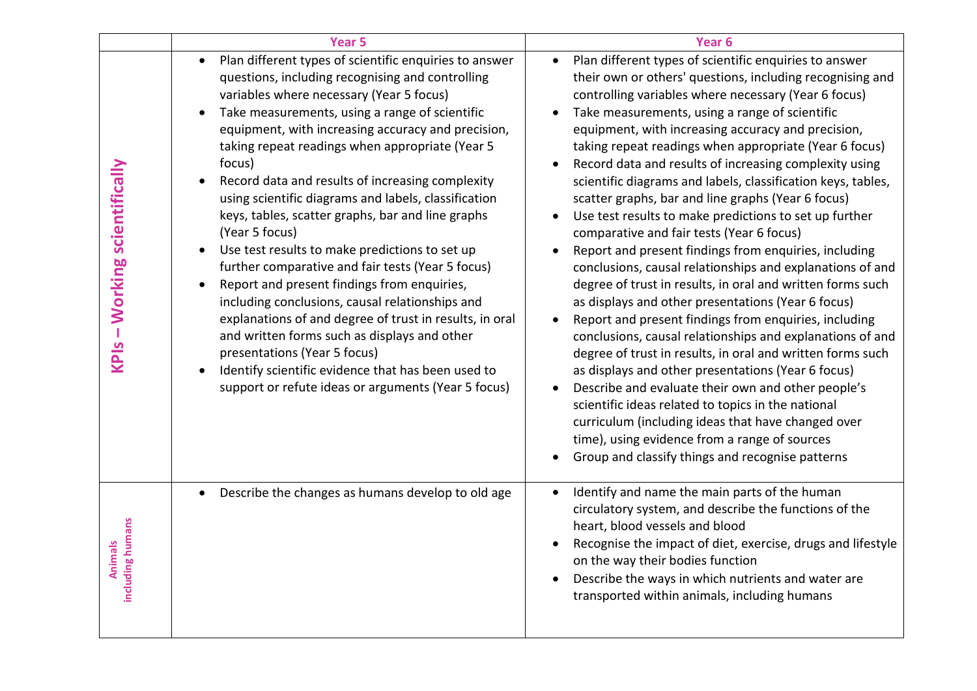|                               | <b>Year 5</b>                                                                                                                                                                                                                                                                                                                                                                                                                                                                                                                                                                                                                                                                                                                                                                                                                                                                                                                                                                                             | Year <sub>6</sub>                                                                                                                                                                                                                                                                                                                                                                                                                                                                                                                                                                                                                                                                                                                                                                                                                                                                                                                                                                                                                                                                                                                                                                                                                                                                                                                                                                                                                      |
|-------------------------------|-----------------------------------------------------------------------------------------------------------------------------------------------------------------------------------------------------------------------------------------------------------------------------------------------------------------------------------------------------------------------------------------------------------------------------------------------------------------------------------------------------------------------------------------------------------------------------------------------------------------------------------------------------------------------------------------------------------------------------------------------------------------------------------------------------------------------------------------------------------------------------------------------------------------------------------------------------------------------------------------------------------|----------------------------------------------------------------------------------------------------------------------------------------------------------------------------------------------------------------------------------------------------------------------------------------------------------------------------------------------------------------------------------------------------------------------------------------------------------------------------------------------------------------------------------------------------------------------------------------------------------------------------------------------------------------------------------------------------------------------------------------------------------------------------------------------------------------------------------------------------------------------------------------------------------------------------------------------------------------------------------------------------------------------------------------------------------------------------------------------------------------------------------------------------------------------------------------------------------------------------------------------------------------------------------------------------------------------------------------------------------------------------------------------------------------------------------------|
| KPIs - Working scientifically | Plan different types of scientific enquiries to answer<br>$\bullet$<br>questions, including recognising and controlling<br>variables where necessary (Year 5 focus)<br>Take measurements, using a range of scientific<br>equipment, with increasing accuracy and precision,<br>taking repeat readings when appropriate (Year 5<br>focus)<br>Record data and results of increasing complexity<br>$\bullet$<br>using scientific diagrams and labels, classification<br>keys, tables, scatter graphs, bar and line graphs<br>(Year 5 focus)<br>Use test results to make predictions to set up<br>further comparative and fair tests (Year 5 focus)<br>Report and present findings from enquiries,<br>including conclusions, causal relationships and<br>explanations of and degree of trust in results, in oral<br>and written forms such as displays and other<br>presentations (Year 5 focus)<br>Identify scientific evidence that has been used to<br>support or refute ideas or arguments (Year 5 focus) | Plan different types of scientific enquiries to answer<br>$\bullet$<br>their own or others' questions, including recognising and<br>controlling variables where necessary (Year 6 focus)<br>Take measurements, using a range of scientific<br>$\bullet$<br>equipment, with increasing accuracy and precision,<br>taking repeat readings when appropriate (Year 6 focus)<br>Record data and results of increasing complexity using<br>scientific diagrams and labels, classification keys, tables,<br>scatter graphs, bar and line graphs (Year 6 focus)<br>Use test results to make predictions to set up further<br>comparative and fair tests (Year 6 focus)<br>Report and present findings from enquiries, including<br>conclusions, causal relationships and explanations of and<br>degree of trust in results, in oral and written forms such<br>as displays and other presentations (Year 6 focus)<br>Report and present findings from enquiries, including<br>$\bullet$<br>conclusions, causal relationships and explanations of and<br>degree of trust in results, in oral and written forms such<br>as displays and other presentations (Year 6 focus)<br>Describe and evaluate their own and other people's<br>scientific ideas related to topics in the national<br>curriculum (including ideas that have changed over<br>time), using evidence from a range of sources<br>Group and classify things and recognise patterns |
| including humans<br>Animals   | Describe the changes as humans develop to old age<br>$\bullet$                                                                                                                                                                                                                                                                                                                                                                                                                                                                                                                                                                                                                                                                                                                                                                                                                                                                                                                                            | Identify and name the main parts of the human<br>circulatory system, and describe the functions of the<br>heart, blood vessels and blood<br>Recognise the impact of diet, exercise, drugs and lifestyle<br>on the way their bodies function<br>Describe the ways in which nutrients and water are<br>transported within animals, including humans                                                                                                                                                                                                                                                                                                                                                                                                                                                                                                                                                                                                                                                                                                                                                                                                                                                                                                                                                                                                                                                                                      |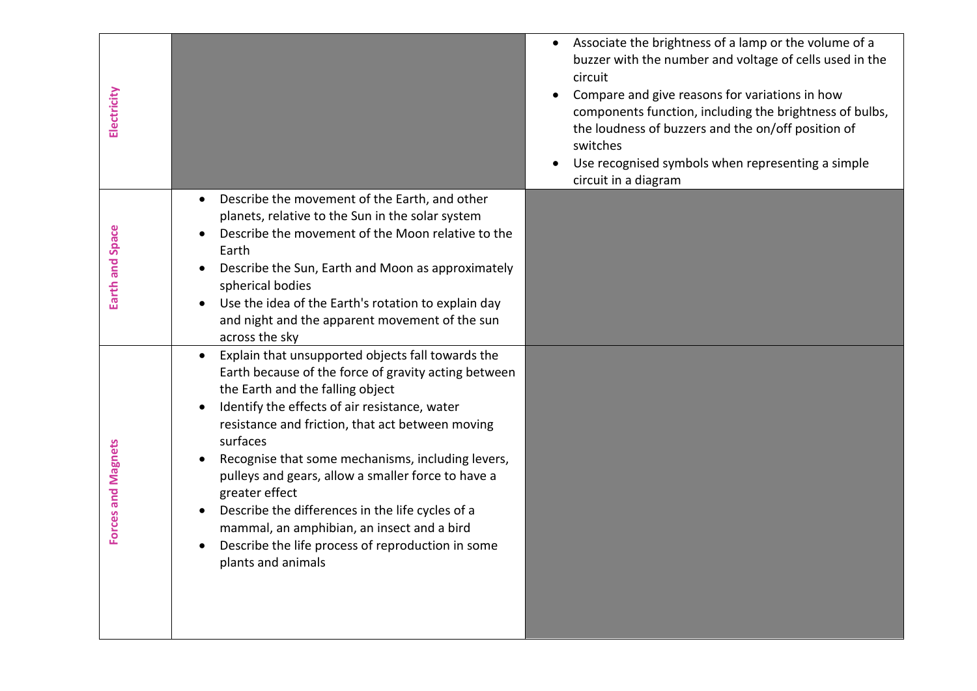| Electricity               |                                                                                                                                                                                                                                                                                                                                                                                                                                                                                                                                                                                                    | Associate the brightness of a lamp or the volume of a<br>buzzer with the number and voltage of cells used in the<br>circuit<br>Compare and give reasons for variations in how<br>$\bullet$<br>components function, including the brightness of bulbs,<br>the loudness of buzzers and the on/off position of<br>switches<br>Use recognised symbols when representing a simple<br>circuit in a diagram |
|---------------------------|----------------------------------------------------------------------------------------------------------------------------------------------------------------------------------------------------------------------------------------------------------------------------------------------------------------------------------------------------------------------------------------------------------------------------------------------------------------------------------------------------------------------------------------------------------------------------------------------------|------------------------------------------------------------------------------------------------------------------------------------------------------------------------------------------------------------------------------------------------------------------------------------------------------------------------------------------------------------------------------------------------------|
| Earth and Space           | Describe the movement of the Earth, and other<br>planets, relative to the Sun in the solar system<br>Describe the movement of the Moon relative to the<br>Earth<br>Describe the Sun, Earth and Moon as approximately<br>spherical bodies<br>Use the idea of the Earth's rotation to explain day<br>and night and the apparent movement of the sun<br>across the sky                                                                                                                                                                                                                                |                                                                                                                                                                                                                                                                                                                                                                                                      |
| <b>Forces and Magnets</b> | Explain that unsupported objects fall towards the<br>$\bullet$<br>Earth because of the force of gravity acting between<br>the Earth and the falling object<br>Identify the effects of air resistance, water<br>resistance and friction, that act between moving<br>surfaces<br>Recognise that some mechanisms, including levers,<br>pulleys and gears, allow a smaller force to have a<br>greater effect<br>Describe the differences in the life cycles of a<br>mammal, an amphibian, an insect and a bird<br>Describe the life process of reproduction in some<br>$\bullet$<br>plants and animals |                                                                                                                                                                                                                                                                                                                                                                                                      |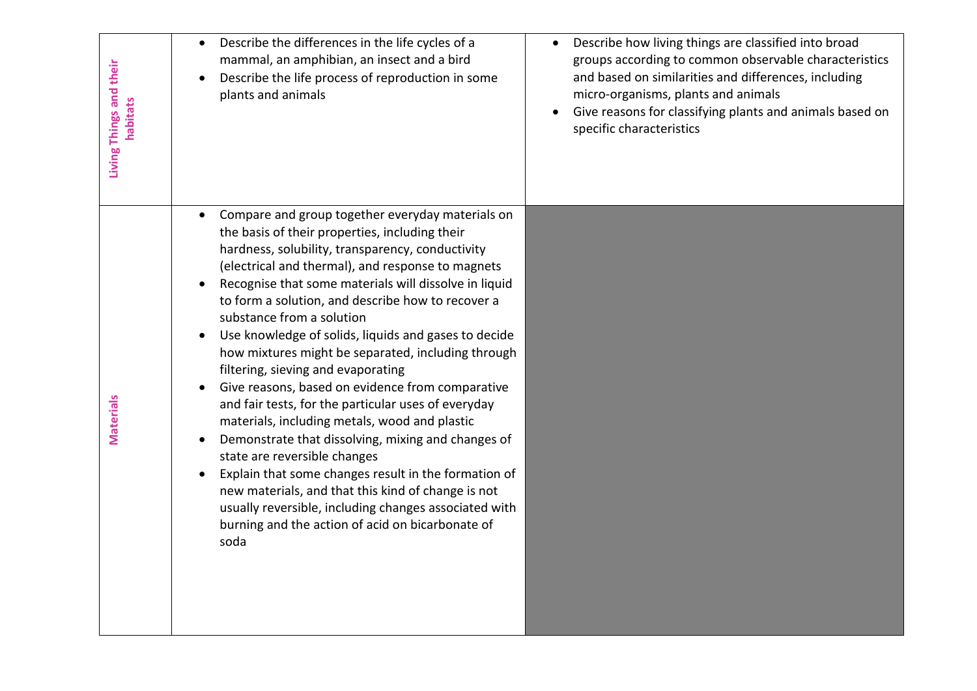| Living Things and their<br>habitats | Describe the differences in the life cycles of a<br>mammal, an amphibian, an insect and a bird<br>Describe the life process of reproduction in some<br>$\bullet$<br>plants and animals                                                                                                                                                                                                                                                                                                                                                                                                                                                                                                                                                                                                                                                                                                                                                                                                                       | Describe how living things are classified into broad<br>groups according to common observable characteristics<br>and based on similarities and differences, including<br>micro-organisms, plants and animals<br>Give reasons for classifying plants and animals based on<br>specific characteristics |
|-------------------------------------|--------------------------------------------------------------------------------------------------------------------------------------------------------------------------------------------------------------------------------------------------------------------------------------------------------------------------------------------------------------------------------------------------------------------------------------------------------------------------------------------------------------------------------------------------------------------------------------------------------------------------------------------------------------------------------------------------------------------------------------------------------------------------------------------------------------------------------------------------------------------------------------------------------------------------------------------------------------------------------------------------------------|------------------------------------------------------------------------------------------------------------------------------------------------------------------------------------------------------------------------------------------------------------------------------------------------------|
| <b>Materials</b>                    | Compare and group together everyday materials on<br>the basis of their properties, including their<br>hardness, solubility, transparency, conductivity<br>(electrical and thermal), and response to magnets<br>Recognise that some materials will dissolve in liquid<br>to form a solution, and describe how to recover a<br>substance from a solution<br>Use knowledge of solids, liquids and gases to decide<br>how mixtures might be separated, including through<br>filtering, sieving and evaporating<br>Give reasons, based on evidence from comparative<br>$\bullet$<br>and fair tests, for the particular uses of everyday<br>materials, including metals, wood and plastic<br>Demonstrate that dissolving, mixing and changes of<br>state are reversible changes<br>Explain that some changes result in the formation of<br>new materials, and that this kind of change is not<br>usually reversible, including changes associated with<br>burning and the action of acid on bicarbonate of<br>soda |                                                                                                                                                                                                                                                                                                      |